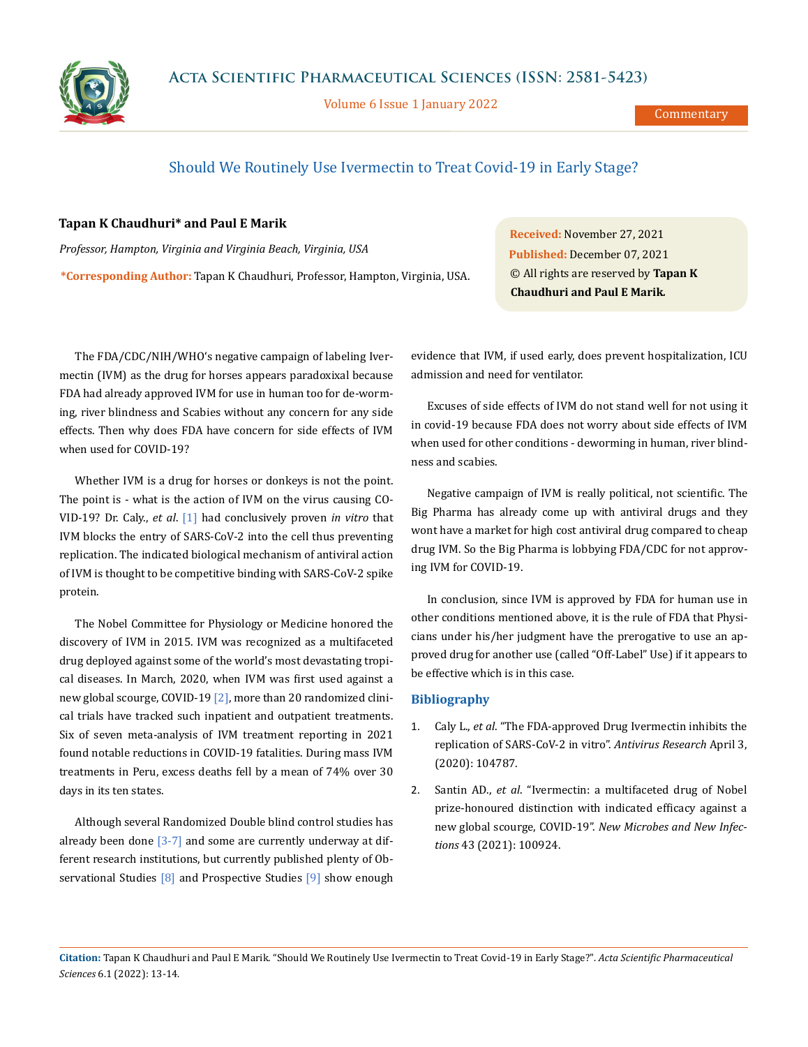

Volume 6 Issue 1 January 2022

Commentary

## Should We Routinely Use Ivermectin to Treat Covid-19 in Early Stage?

## **Tapan K Chaudhuri\* and Paul E Marik**

*Professor, Hampton, Virginia and Virginia Beach, Virginia, USA* **\*Corresponding Author:** Tapan K Chaudhuri, Professor, Hampton, Virginia, USA.

**Received:** November 27, 2021 **Published:** December 07, 2021 © All rights are reserved by **Tapan K Chaudhuri and Paul E Marik***.*

The FDA/CDC/NIH/WHO's negative campaign of labeling Ivermectin (IVM) as the drug for horses appears paradoxixal because FDA had already approved IVM for use in human too for de-worming, river blindness and Scabies without any concern for any side effects. Then why does FDA have concern for side effects of IVM when used for COVID-19?

Whether IVM is a drug for horses or donkeys is not the point. The point is - what is the action of IVM on the virus causing CO-VID-19? Dr. Caly., *et al*. [1] had conclusively proven *in vitro* that IVM blocks the entry of SARS-CoV-2 into the cell thus preventing replication. The indicated biological mechanism of antiviral action of IVM is thought to be competitive binding with SARS-CoV-2 spike protein.

The Nobel Committee for Physiology or Medicine honored the discovery of IVM in 2015. IVM was recognized as a multifaceted drug deployed against some of the world's most devastating tropical diseases. In March, 2020, when IVM was first used against a new global scourge, COVID-19 [2], more than 20 randomized clinical trials have tracked such inpatient and outpatient treatments. Six of seven meta-analysis of IVM treatment reporting in 2021 found notable reductions in COVID-19 fatalities. During mass IVM treatments in Peru, excess deaths fell by a mean of 74% over 30 days in its ten states.

Although several Randomized Double blind control studies has already been done  $\sqrt{3-7}$  and some are currently underway at different research institutions, but currently published plenty of Observational Studies [8] and Prospective Studies [9] show enough evidence that IVM, if used early, does prevent hospitalization, ICU admission and need for ventilator.

Excuses of side effects of IVM do not stand well for not using it in covid-19 because FDA does not worry about side effects of IVM when used for other conditions - deworming in human, river blindness and scabies.

Negative campaign of IVM is really political, not scientific. The Big Pharma has already come up with antiviral drugs and they wont have a market for high cost antiviral drug compared to cheap drug IVM. So the Big Pharma is lobbying FDA/CDC for not approving IVM for COVID-19.

In conclusion, since IVM is approved by FDA for human use in other conditions mentioned above, it is the rule of FDA that Physicians under his/her judgment have the prerogative to use an approved drug for another use (called "Off-Label" Use) if it appears to be effective which is in this case.

## **Bibliography**

- 1. Caly L., *et al*[. "The FDA-approved Drug Ivermectin inhibits the](https://www.sciencedirect.com/science/article/pii/S0166354220302011) [replication of SARS-CoV-2 in vitro".](https://www.sciencedirect.com/science/article/pii/S0166354220302011) *Antivirus Research* April 3, [\(2020\): 104787.](https://www.sciencedirect.com/science/article/pii/S0166354220302011)
- 2. Santin AD., *et al*[. "Ivermectin: a multifaceted drug of Nobel](https://www.researchgate.net/publication/353674864_Ivermectin_a_multifaceted_drug_of_Nobel_prize-honored_distinction_with_indicated_efficacy_against_a_new_global_scourge_COVID-19) [prize-honoured distinction with indicated efficacy against a](https://www.researchgate.net/publication/353674864_Ivermectin_a_multifaceted_drug_of_Nobel_prize-honored_distinction_with_indicated_efficacy_against_a_new_global_scourge_COVID-19) new global scourge, COVID-19". *New Microbes and New Infections* [43 \(2021\): 100924.](https://www.researchgate.net/publication/353674864_Ivermectin_a_multifaceted_drug_of_Nobel_prize-honored_distinction_with_indicated_efficacy_against_a_new_global_scourge_COVID-19)

**Citation:** Tapan K Chaudhuri and Paul E Marik*.* "Should We Routinely Use Ivermectin to Treat Covid-19 in Early Stage?". *Acta Scientific Pharmaceutical Sciences* 6.1 (2022): 13-14.